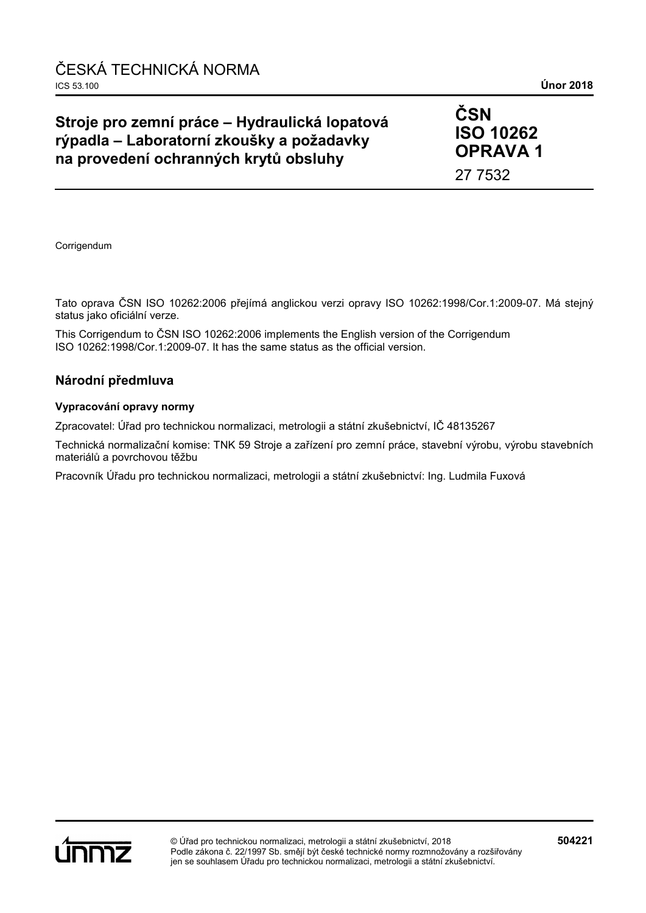## **Stroje pro zemní práce – Hydraulická lopatová rýpadla – Laboratorní zkoušky a požadavky na provedení ochranných krytů obsluhy**

**ČSN ISO 10262 OPRAVA 1** 27 7532

**Corrigendum** 

Tato oprava ČSN ISO 10262:2006 přejímá anglickou verzi opravy ISO 10262:1998/Cor.1:2009-07. Má stejný status jako oficiální verze.

This Corrigendum to ČSN ISO 10262:2006 implements the English version of the Corrigendum ISO 10262:1998/Cor.1:2009-07. It has the same status as the official version.

## **Národní předmluva**

#### **Vypracování opravy normy**

Zpracovatel: Úřad pro technickou normalizaci, metrologii a státní zkušebnictví, IČ 48135267

Technická normalizační komise: TNK 59 Stroje a zařízení pro zemní práce, stavební výrobu, výrobu stavebních materiálů a povrchovou těžbu

Pracovník Úřadu pro technickou normalizaci, metrologii a státní zkušebnictví: Ing. Ludmila Fuxová

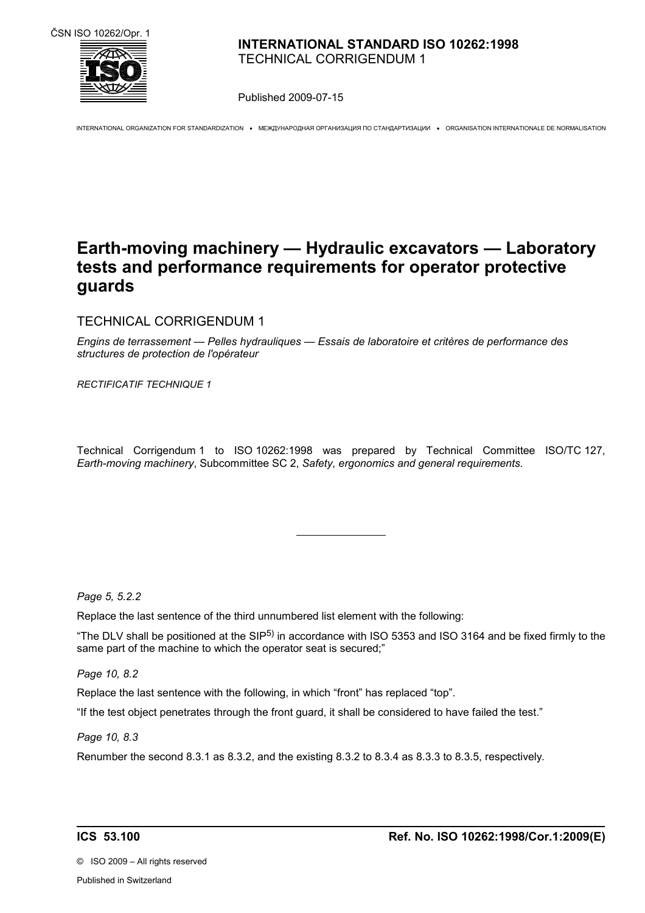

Published 2009-07-15

INTERNATIONAL ORGANIZATION FOR STANDARDIZATION • МЕЖДУНАРОДНАЯ ОРГАНИЗАЦИЯ ПО СТАНДАРТИЗАЦИИ • ORGANISATION INTERNATIONALE DE NORMALISATION

# **Earth-moving machinery — Hydraulic excavators — Laboratory tests and performance requirements for operator protective guards**

TECHNICAL CORRIGENDUM 1

*Engins de terrassement — Pelles hydrauliques — Essais de laboratoire et critères de performance des structures de protection de l'opérateur* 

*RECTIFICATIF TECHNIQUE 1*

Technical Corrigendum 1 to ISO 10262:1998 was prepared by Technical Committee ISO/TC 127, *Earth-moving machinery*, Subcommittee SC 2, *Safety, ergonomics and general requirements.* 

*Page 5, 5.2.2*

Replace the last sentence of the third unnumbered list element with the following:

 $\overline{a}$ 

"The DLV shall be positioned at the SIP5) in accordance with ISO 5353 and ISO 3164 and be fixed firmly to the same part of the machine to which the operator seat is secured;"

*Page 10, 8.2*

Replace the last sentence with the following, in which "front" has replaced "top".

"If the test object penetrates through the front guard, it shall be considered to have failed the test."

*Page 10, 8.3*

Renumber the second 8.3.1 as 8.3.2, and the existing 8.3.2 to 8.3.4 as 8.3.3 to 8.3.5, respectively.

©ISO 2009 – All rights reserved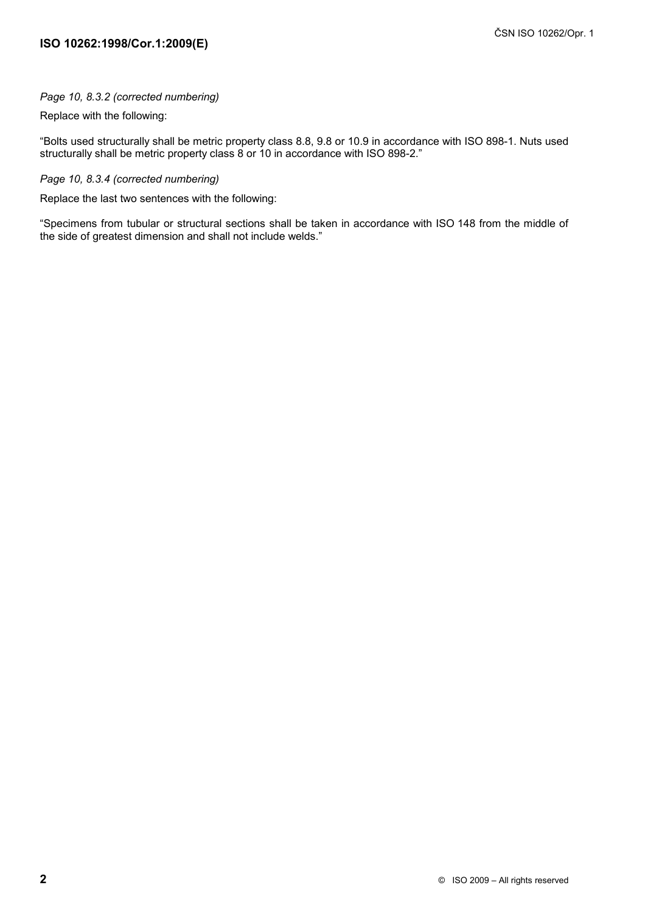*Page 10, 8.3.2 (corrected numbering)*

Replace with the following:

"Bolts used structurally shall be metric property class 8.8, 9.8 or 10.9 in accordance with ISO 898-1. Nuts used structurally shall be metric property class 8 or 10 in accordance with ISO 898-2."

### *Page 10, 8.3.4 (corrected numbering)*

Replace the last two sentences with the following:

"Specimens from tubular or structural sections shall be taken in accordance with ISO 148 from the middle of the side of greatest dimension and shall not include welds."